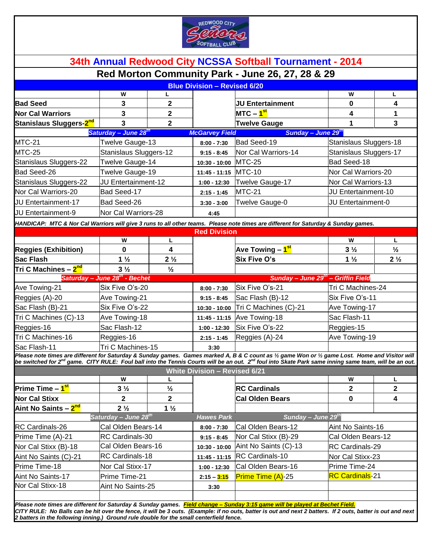

|                                                                                                                                                                 |                                  |                  |                                      | 34th Annual Redwood City NCSSA Softball Tournament - 2014 |                                    |                     |  |
|-----------------------------------------------------------------------------------------------------------------------------------------------------------------|----------------------------------|------------------|--------------------------------------|-----------------------------------------------------------|------------------------------------|---------------------|--|
|                                                                                                                                                                 |                                  |                  |                                      | Red Morton Community Park - June 26, 27, 28 & 29          |                                    |                     |  |
|                                                                                                                                                                 |                                  |                  | <b>Blue Division - Revised 6/20</b>  |                                                           |                                    |                     |  |
| <b>Bad Seed</b>                                                                                                                                                 | W                                | L                |                                      |                                                           | w                                  | L                   |  |
| <b>Nor Cal Warriors</b>                                                                                                                                         | 3<br>3                           | 2<br>$\mathbf 2$ |                                      | <b>JU Entertainment</b><br>MTC - 1 <sup>st</sup>          | 0<br>4                             | 4<br>1              |  |
|                                                                                                                                                                 | 3                                | $\overline{2}$   |                                      |                                                           | 1                                  | 3                   |  |
| Stanislaus Sluggers- <mark>2<sup>nd</sup></mark>                                                                                                                | Saturday - June 28th             |                  | <b>McGarvey Field</b>                | <b>Twelve Gauge</b><br>Sunday - June 29th                 |                                    |                     |  |
| MTC-21                                                                                                                                                          | Twelve Gauge-13                  |                  | $8:00 - 7:30$                        | Bad Seed-19                                               | Stanislaus Sluggers-18             |                     |  |
| <b>MTC-25</b>                                                                                                                                                   | Stanislaus Sluggers-12           |                  | $9:15 - 8:45$                        | Nor Cal Warriors-14                                       | Stanislaus Sluggers-17             |                     |  |
| Stanislaus Sluggers-22                                                                                                                                          | Twelve Gauge-14                  |                  | 10:30 - 10:00 MTC-25                 |                                                           |                                    | Bad Seed-18         |  |
| Bad Seed-26                                                                                                                                                     | Twelve Gauge-19                  |                  | 11:45 - 11:15 MTC-10                 |                                                           |                                    | Nor Cal Warriors-20 |  |
| Stanislaus Sluggers-22                                                                                                                                          | JU Entertainment-12              |                  |                                      | Twelve Gauge-17                                           |                                    | Nor Cal Warriors-13 |  |
| Nor Cal Warriors-20                                                                                                                                             | Bad Seed-17                      |                  | $1:00 - 12:30$<br>$2:15 - 1:45$      | MTC-21                                                    |                                    | JU Entertainment-10 |  |
|                                                                                                                                                                 |                                  |                  |                                      |                                                           |                                    |                     |  |
| <b>JU Entertainment-17</b>                                                                                                                                      | Bad Seed-26                      |                  | $3:30 - 3:00$                        | Twelve Gauge-0                                            | JU Entertainment-0                 |                     |  |
| <b>JU Entertainment-9</b>                                                                                                                                       | Nor Cal Warriors-28              |                  | 4:45                                 |                                                           |                                    |                     |  |
| HANDICAP: MTC & Nor Cal Warriors will give 3 runs to all other teams. Please note times are different for Saturday & Sunday games.                              |                                  |                  |                                      |                                                           |                                    |                     |  |
|                                                                                                                                                                 | W                                | L                | <b>Red Division</b>                  |                                                           | W                                  | L                   |  |
| <b>Reggies (Exhibition)</b>                                                                                                                                     | 0                                | 4                |                                      | Ave Towing – 1st                                          | $3\frac{1}{2}$                     | $\frac{1}{2}$       |  |
| <b>Sac Flash</b>                                                                                                                                                | $1\frac{1}{2}$                   | $2\frac{1}{2}$   |                                      | Six Five O's                                              | $1\frac{1}{2}$                     | $2\frac{1}{2}$      |  |
| Tri C Machines – <mark>2<sup>nd</sup></mark>                                                                                                                    | $3\frac{1}{2}$                   | $\frac{1}{2}$    |                                      |                                                           |                                    |                     |  |
|                                                                                                                                                                 | Saturday - June 28th - Bechet    |                  |                                      |                                                           | Sunday - June 29th - Griffin Field |                     |  |
| Ave Towing-21                                                                                                                                                   | Six Five O's-20                  |                  | $8:00 - 7:30$                        | Six Five O's-21                                           | Tri C Machines-24                  |                     |  |
| Reggies (A)-20                                                                                                                                                  | Ave Towing-21                    |                  | $9:15 - 8:45$                        | Sac Flash (B)-12                                          | Six Five O's-11                    |                     |  |
| Sac Flash (B)-21                                                                                                                                                | Six Five O's-22                  |                  |                                      | 10:30 - 10:00 Tri C Machines (C)-21                       |                                    | Ave Towing-17       |  |
| Tri C Machines (C)-13                                                                                                                                           | Ave Towing-18                    |                  |                                      | 11:45 - 11:15 Ave Towing-18                               |                                    | Sac Flash-11        |  |
| Reggies-16                                                                                                                                                      | Sac Flash-12                     |                  | $1:00 - 12:30$                       | Six Five O's-22                                           | Reggies-15                         |                     |  |
| Tri C Machines-16                                                                                                                                               | Reggies-16                       |                  | $2:15 - 1:45$                        | Reggies (A)-24                                            | Ave Towing-19                      |                     |  |
| Sac Flash-11                                                                                                                                                    | Tri C Machines-15                |                  |                                      |                                                           |                                    |                     |  |
| Please note times are different for Saturday & Sunday games. Games marked A, B & C count as 1/2 game Won or 1/2 game Lost. Home and Visitor will                |                                  |                  | 3:30                                 |                                                           |                                    |                     |  |
| be switched for $2^{nd}$ game. CITY RULE: Foul ball into the Tennis Courts will be an out. $2^{nd}$ foul into Skate Park same inning same team, will be an out. |                                  |                  |                                      |                                                           |                                    |                     |  |
|                                                                                                                                                                 |                                  |                  | <b>White Division - Revised 6/21</b> |                                                           |                                    |                     |  |
|                                                                                                                                                                 | W                                | L                |                                      |                                                           | W                                  | L                   |  |
| Prime Time - 1 <sup>st</sup>                                                                                                                                    | $3\frac{1}{2}$                   | $\frac{1}{2}$    |                                      | <b>RC Cardinals</b>                                       | 2                                  | 2                   |  |
| <b>Nor Cal Stixx</b>                                                                                                                                            | 2                                | $\mathbf 2$      |                                      | Cal Olden Bears                                           | 0                                  | 4                   |  |
| Aint No Saints – 2 <sup>nd</sup>                                                                                                                                | $2\frac{1}{2}$                   | $1\frac{1}{2}$   |                                      |                                                           |                                    |                     |  |
|                                                                                                                                                                 | Saturday - June 28 <sup>th</sup> |                  | <b>Hawes Park</b>                    | Sunday - June 29th                                        |                                    |                     |  |
| RC Cardinals-26                                                                                                                                                 | Cal Olden Bears-14               |                  | $8:00 - 7:30$                        | Cal Olden Bears-12                                        | Aint No Saints-16                  |                     |  |
| Prime Time (A)-21                                                                                                                                               | RC Cardinals-30                  |                  | $9:15 - 8:45$                        | Nor Cal Stixx (B)-29                                      |                                    | Cal Olden Bears-12  |  |
| Nor Cal Stixx (B)-18                                                                                                                                            | Cal Olden Bears-16               |                  | $10:30 - 10:00$                      | Aint No Saints (C)-13                                     | RC Cardinals-29                    |                     |  |
| Aint No Saints (C)-21                                                                                                                                           | RC Cardinals-18                  |                  |                                      | 11:45 - 11:15 RC Cardinals-10                             | Nor Cal Stixx-23                   |                     |  |
| Prime Time-18                                                                                                                                                   | Nor Cal Stixx-17                 |                  | $1:00 - 12:30$                       | Cal Olden Bears-16                                        | Prime Time-24                      |                     |  |
| Aint No Saints-17<br>Nor Cal Stixx-18                                                                                                                           | Prime Time-21                    |                  | $2:15 - 3:15$                        | Prime Time (A)-25                                         | <b>RC Cardinals-21</b>             |                     |  |
|                                                                                                                                                                 | Aint No Saints-25                |                  | 3:30                                 |                                                           |                                    |                     |  |

*CITY RULE: No Balls can be hit over the fence, it will be 3 outs. (Example: if no outs, batter is out and next 2 batters. If 2 outs, batter is out and next 2 batters in the following inning.) Ground rule double for the small centerfield fence.*